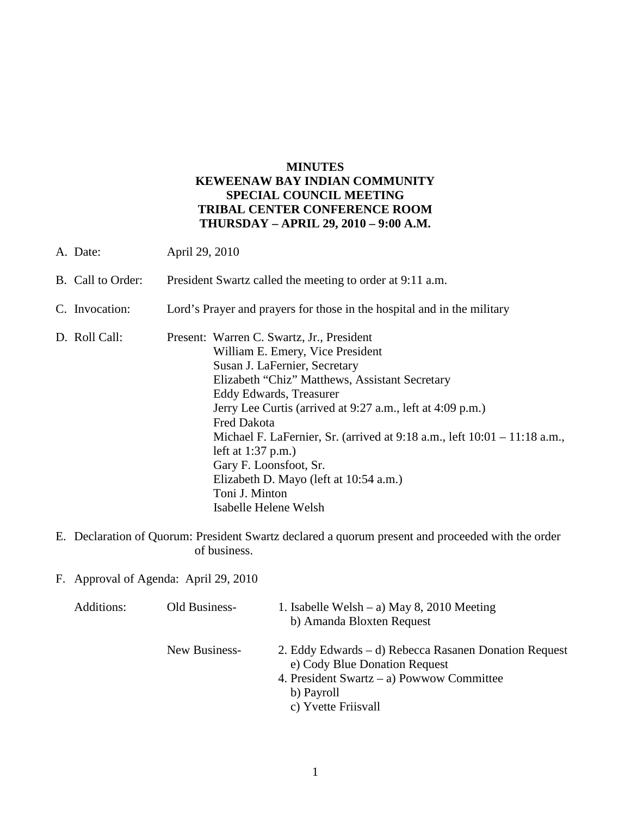#### **MINUTES KEWEENAW BAY INDIAN COMMUNITY SPECIAL COUNCIL MEETING TRIBAL CENTER CONFERENCE ROOM THURSDAY – APRIL 29, 2010 – 9:00 A.M.**

- A. Date: April 29, 2010
- B. Call to Order: President Swartz called the meeting to order at 9:11 a.m.
- C. Invocation: Lord's Prayer and prayers for those in the hospital and in the military
- D. Roll Call: Present: Warren C. Swartz, Jr., President William E. Emery, Vice President Susan J. LaFernier, Secretary Elizabeth "Chiz" Matthews, Assistant Secretary Eddy Edwards, Treasurer Jerry Lee Curtis (arrived at 9:27 a.m., left at 4:09 p.m.) Fred Dakota Michael F. LaFernier, Sr. (arrived at 9:18 a.m., left 10:01 – 11:18 a.m., left at 1:37 p.m.) Gary F. Loonsfoot, Sr. Elizabeth D. Mayo (left at 10:54 a.m.) Toni J. Minton Isabelle Helene Welsh
- E. Declaration of Quorum: President Swartz declared a quorum present and proceeded with the order of business.
- F. Approval of Agenda: April 29, 2010

| Additions: | Old Business- | 1. Isabelle Welsh – a) May 8, 2010 Meeting<br>b) Amanda Bloxten Request                                                                           |
|------------|---------------|---------------------------------------------------------------------------------------------------------------------------------------------------|
|            | New Business- | 2. Eddy Edwards – d) Rebecca Rasanen Donation Request<br>e) Cody Blue Donation Request<br>4. President Swartz – a) Powwow Committee<br>b) Payroll |
|            |               | c) Yvette Friisvall                                                                                                                               |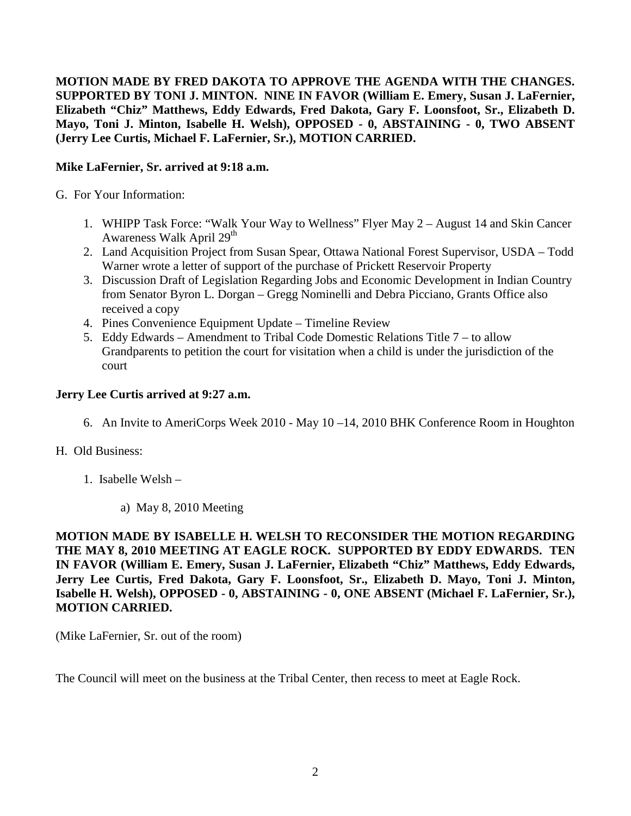**MOTION MADE BY FRED DAKOTA TO APPROVE THE AGENDA WITH THE CHANGES. SUPPORTED BY TONI J. MINTON. NINE IN FAVOR (William E. Emery, Susan J. LaFernier, Elizabeth "Chiz" Matthews, Eddy Edwards, Fred Dakota, Gary F. Loonsfoot, Sr., Elizabeth D. Mayo, Toni J. Minton, Isabelle H. Welsh), OPPOSED - 0, ABSTAINING - 0, TWO ABSENT (Jerry Lee Curtis, Michael F. LaFernier, Sr.), MOTION CARRIED.**

## **Mike LaFernier, Sr. arrived at 9:18 a.m.**

G. For Your Information:

- 1. WHIPP Task Force: "Walk Your Way to Wellness" Flyer May 2 August 14 and Skin Cancer Awareness Walk April 29<sup>th</sup>
- 2. Land Acquisition Project from Susan Spear, Ottawa National Forest Supervisor, USDA Todd Warner wrote a letter of support of the purchase of Prickett Reservoir Property
- 3. Discussion Draft of Legislation Regarding Jobs and Economic Development in Indian Country from Senator Byron L. Dorgan – Gregg Nominelli and Debra Picciano, Grants Office also received a copy
- 4. Pines Convenience Equipment Update Timeline Review
- 5. Eddy Edwards Amendment to Tribal Code Domestic Relations Title 7 to allow Grandparents to petition the court for visitation when a child is under the jurisdiction of the court

## **Jerry Lee Curtis arrived at 9:27 a.m.**

6. An Invite to AmeriCorps Week 2010 - May 10 –14, 2010 BHK Conference Room in Houghton

## H. Old Business:

- 1. Isabelle Welsh
	- a) May 8, 2010 Meeting

**MOTION MADE BY ISABELLE H. WELSH TO RECONSIDER THE MOTION REGARDING THE MAY 8, 2010 MEETING AT EAGLE ROCK. SUPPORTED BY EDDY EDWARDS. TEN IN FAVOR (William E. Emery, Susan J. LaFernier, Elizabeth "Chiz" Matthews, Eddy Edwards, Jerry Lee Curtis, Fred Dakota, Gary F. Loonsfoot, Sr., Elizabeth D. Mayo, Toni J. Minton, Isabelle H. Welsh), OPPOSED - 0, ABSTAINING - 0, ONE ABSENT (Michael F. LaFernier, Sr.), MOTION CARRIED.**

(Mike LaFernier, Sr. out of the room)

The Council will meet on the business at the Tribal Center, then recess to meet at Eagle Rock.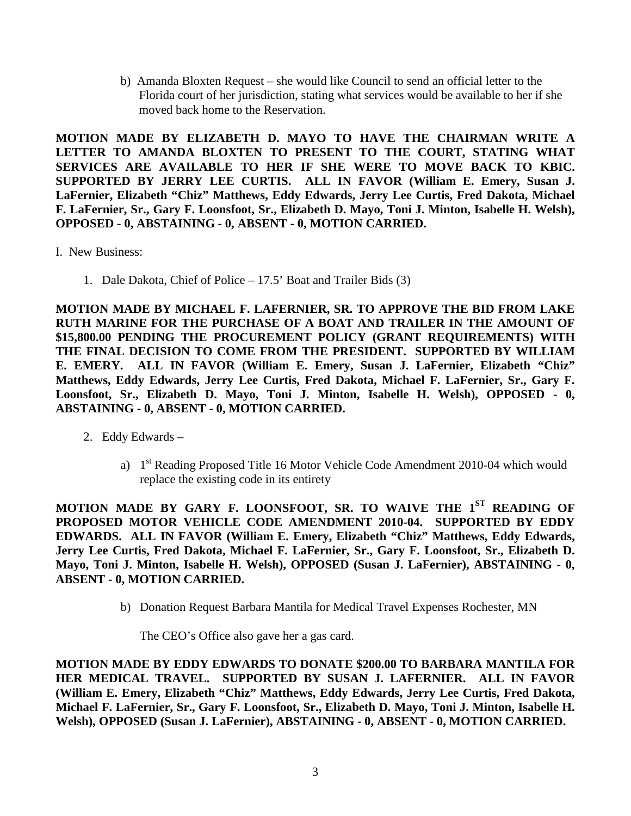b) Amanda Bloxten Request – she would like Council to send an official letter to the Florida court of her jurisdiction, stating what services would be available to her if she moved back home to the Reservation.

**MOTION MADE BY ELIZABETH D. MAYO TO HAVE THE CHAIRMAN WRITE A LETTER TO AMANDA BLOXTEN TO PRESENT TO THE COURT, STATING WHAT SERVICES ARE AVAILABLE TO HER IF SHE WERE TO MOVE BACK TO KBIC. SUPPORTED BY JERRY LEE CURTIS. ALL IN FAVOR (William E. Emery, Susan J. LaFernier, Elizabeth "Chiz" Matthews, Eddy Edwards, Jerry Lee Curtis, Fred Dakota, Michael F. LaFernier, Sr., Gary F. Loonsfoot, Sr., Elizabeth D. Mayo, Toni J. Minton, Isabelle H. Welsh), OPPOSED - 0, ABSTAINING - 0, ABSENT - 0, MOTION CARRIED.**

- I. New Business:
	- 1. Dale Dakota, Chief of Police 17.5' Boat and Trailer Bids (3)

**MOTION MADE BY MICHAEL F. LAFERNIER, SR. TO APPROVE THE BID FROM LAKE RUTH MARINE FOR THE PURCHASE OF A BOAT AND TRAILER IN THE AMOUNT OF \$15,800.00 PENDING THE PROCUREMENT POLICY (GRANT REQUIREMENTS) WITH THE FINAL DECISION TO COME FROM THE PRESIDENT. SUPPORTED BY WILLIAM E. EMERY. ALL IN FAVOR (William E. Emery, Susan J. LaFernier, Elizabeth "Chiz" Matthews, Eddy Edwards, Jerry Lee Curtis, Fred Dakota, Michael F. LaFernier, Sr., Gary F. Loonsfoot, Sr., Elizabeth D. Mayo, Toni J. Minton, Isabelle H. Welsh), OPPOSED - 0, ABSTAINING - 0, ABSENT - 0, MOTION CARRIED.**

- 2. Eddy Edwards
	- a) 1st Reading Proposed Title 16 Motor Vehicle Code Amendment 2010-04 which would replace the existing code in its entirety

**MOTION MADE BY GARY F. LOONSFOOT, SR. TO WAIVE THE 1ST READING OF PROPOSED MOTOR VEHICLE CODE AMENDMENT 2010-04. SUPPORTED BY EDDY EDWARDS. ALL IN FAVOR (William E. Emery, Elizabeth "Chiz" Matthews, Eddy Edwards, Jerry Lee Curtis, Fred Dakota, Michael F. LaFernier, Sr., Gary F. Loonsfoot, Sr., Elizabeth D. Mayo, Toni J. Minton, Isabelle H. Welsh), OPPOSED (Susan J. LaFernier), ABSTAINING - 0, ABSENT - 0, MOTION CARRIED.**

b) Donation Request Barbara Mantila for Medical Travel Expenses Rochester, MN

The CEO's Office also gave her a gas card.

**MOTION MADE BY EDDY EDWARDS TO DONATE \$200.00 TO BARBARA MANTILA FOR HER MEDICAL TRAVEL. SUPPORTED BY SUSAN J. LAFERNIER. ALL IN FAVOR (William E. Emery, Elizabeth "Chiz" Matthews, Eddy Edwards, Jerry Lee Curtis, Fred Dakota, Michael F. LaFernier, Sr., Gary F. Loonsfoot, Sr., Elizabeth D. Mayo, Toni J. Minton, Isabelle H. Welsh), OPPOSED (Susan J. LaFernier), ABSTAINING - 0, ABSENT - 0, MOTION CARRIED.**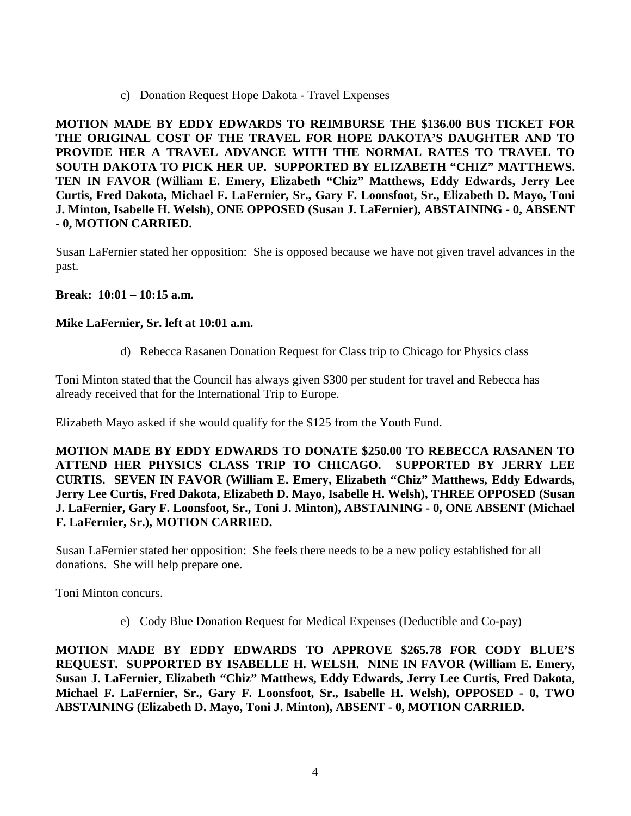c) Donation Request Hope Dakota - Travel Expenses

**MOTION MADE BY EDDY EDWARDS TO REIMBURSE THE \$136.00 BUS TICKET FOR THE ORIGINAL COST OF THE TRAVEL FOR HOPE DAKOTA'S DAUGHTER AND TO PROVIDE HER A TRAVEL ADVANCE WITH THE NORMAL RATES TO TRAVEL TO SOUTH DAKOTA TO PICK HER UP. SUPPORTED BY ELIZABETH "CHIZ" MATTHEWS. TEN IN FAVOR (William E. Emery, Elizabeth "Chiz" Matthews, Eddy Edwards, Jerry Lee Curtis, Fred Dakota, Michael F. LaFernier, Sr., Gary F. Loonsfoot, Sr., Elizabeth D. Mayo, Toni J. Minton, Isabelle H. Welsh), ONE OPPOSED (Susan J. LaFernier), ABSTAINING - 0, ABSENT - 0, MOTION CARRIED.**

Susan LaFernier stated her opposition: She is opposed because we have not given travel advances in the past.

## **Break: 10:01 – 10:15 a.m.**

#### **Mike LaFernier, Sr. left at 10:01 a.m.**

d) Rebecca Rasanen Donation Request for Class trip to Chicago for Physics class

Toni Minton stated that the Council has always given \$300 per student for travel and Rebecca has already received that for the International Trip to Europe.

Elizabeth Mayo asked if she would qualify for the \$125 from the Youth Fund.

**MOTION MADE BY EDDY EDWARDS TO DONATE \$250.00 TO REBECCA RASANEN TO ATTEND HER PHYSICS CLASS TRIP TO CHICAGO. SUPPORTED BY JERRY LEE CURTIS. SEVEN IN FAVOR (William E. Emery, Elizabeth "Chiz" Matthews, Eddy Edwards, Jerry Lee Curtis, Fred Dakota, Elizabeth D. Mayo, Isabelle H. Welsh), THREE OPPOSED (Susan J. LaFernier, Gary F. Loonsfoot, Sr., Toni J. Minton), ABSTAINING - 0, ONE ABSENT (Michael F. LaFernier, Sr.), MOTION CARRIED.**

Susan LaFernier stated her opposition: She feels there needs to be a new policy established for all donations. She will help prepare one.

Toni Minton concurs.

e) Cody Blue Donation Request for Medical Expenses (Deductible and Co-pay)

**MOTION MADE BY EDDY EDWARDS TO APPROVE \$265.78 FOR CODY BLUE'S REQUEST. SUPPORTED BY ISABELLE H. WELSH. NINE IN FAVOR (William E. Emery, Susan J. LaFernier, Elizabeth "Chiz" Matthews, Eddy Edwards, Jerry Lee Curtis, Fred Dakota, Michael F. LaFernier, Sr., Gary F. Loonsfoot, Sr., Isabelle H. Welsh), OPPOSED - 0, TWO ABSTAINING (Elizabeth D. Mayo, Toni J. Minton), ABSENT - 0, MOTION CARRIED.**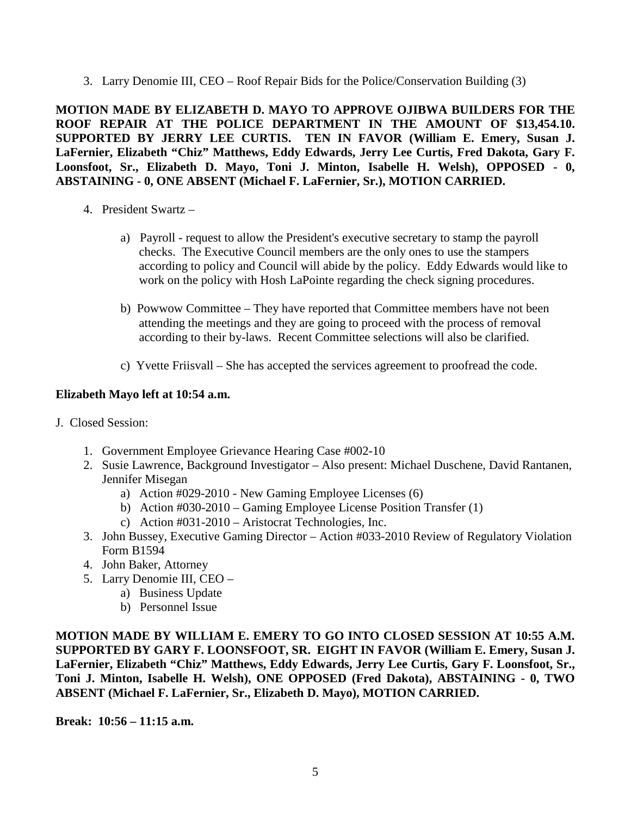3. Larry Denomie III, CEO – Roof Repair Bids for the Police/Conservation Building (3)

**MOTION MADE BY ELIZABETH D. MAYO TO APPROVE OJIBWA BUILDERS FOR THE ROOF REPAIR AT THE POLICE DEPARTMENT IN THE AMOUNT OF \$13,454.10. SUPPORTED BY JERRY LEE CURTIS. TEN IN FAVOR (William E. Emery, Susan J. LaFernier, Elizabeth "Chiz" Matthews, Eddy Edwards, Jerry Lee Curtis, Fred Dakota, Gary F. Loonsfoot, Sr., Elizabeth D. Mayo, Toni J. Minton, Isabelle H. Welsh), OPPOSED - 0, ABSTAINING - 0, ONE ABSENT (Michael F. LaFernier, Sr.), MOTION CARRIED.**

- 4. President Swartz
	- a) Payroll request to allow the President's executive secretary to stamp the payroll checks. The Executive Council members are the only ones to use the stampers according to policy and Council will abide by the policy. Eddy Edwards would like to work on the policy with Hosh LaPointe regarding the check signing procedures.
	- b) Powwow Committee They have reported that Committee members have not been attending the meetings and they are going to proceed with the process of removal according to their by-laws. Recent Committee selections will also be clarified.
	- c) Yvette Friisvall She has accepted the services agreement to proofread the code.

# **Elizabeth Mayo left at 10:54 a.m.**

- J. Closed Session:
	- 1. Government Employee Grievance Hearing Case #002-10
	- 2. Susie Lawrence, Background Investigator Also present: Michael Duschene, David Rantanen, Jennifer Misegan
		- a) Action #029-2010 New Gaming Employee Licenses (6)
		- b) Action #030-2010 Gaming Employee License Position Transfer (1)
		- c) Action #031-2010 Aristocrat Technologies, Inc.
	- 3. John Bussey, Executive Gaming Director Action #033-2010 Review of Regulatory Violation Form B1594
	- 4. John Baker, Attorney
	- 5. Larry Denomie III, CEO
		- a) Business Update
		- b) Personnel Issue

**MOTION MADE BY WILLIAM E. EMERY TO GO INTO CLOSED SESSION AT 10:55 A.M. SUPPORTED BY GARY F. LOONSFOOT, SR. EIGHT IN FAVOR (William E. Emery, Susan J. LaFernier, Elizabeth "Chiz" Matthews, Eddy Edwards, Jerry Lee Curtis, Gary F. Loonsfoot, Sr., Toni J. Minton, Isabelle H. Welsh), ONE OPPOSED (Fred Dakota), ABSTAINING - 0, TWO ABSENT (Michael F. LaFernier, Sr., Elizabeth D. Mayo), MOTION CARRIED.** 

**Break: 10:56 – 11:15 a.m.**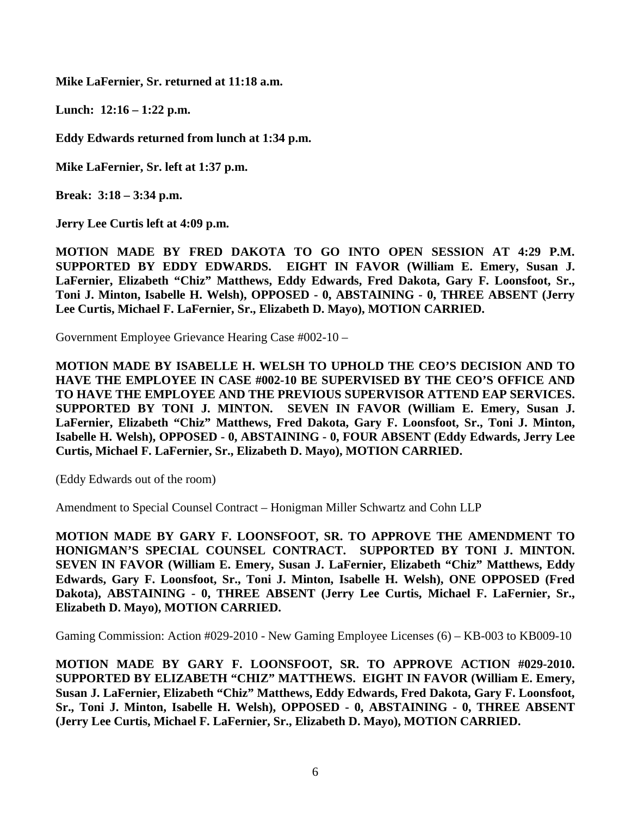**Mike LaFernier, Sr. returned at 11:18 a.m.**

**Lunch: 12:16 – 1:22 p.m.** 

**Eddy Edwards returned from lunch at 1:34 p.m.**

**Mike LaFernier, Sr. left at 1:37 p.m.** 

**Break: 3:18 – 3:34 p.m.** 

**Jerry Lee Curtis left at 4:09 p.m.** 

**MOTION MADE BY FRED DAKOTA TO GO INTO OPEN SESSION AT 4:29 P.M. SUPPORTED BY EDDY EDWARDS. EIGHT IN FAVOR (William E. Emery, Susan J. LaFernier, Elizabeth "Chiz" Matthews, Eddy Edwards, Fred Dakota, Gary F. Loonsfoot, Sr., Toni J. Minton, Isabelle H. Welsh), OPPOSED - 0, ABSTAINING - 0, THREE ABSENT (Jerry Lee Curtis, Michael F. LaFernier, Sr., Elizabeth D. Mayo), MOTION CARRIED.**

Government Employee Grievance Hearing Case #002-10 –

**MOTION MADE BY ISABELLE H. WELSH TO UPHOLD THE CEO'S DECISION AND TO HAVE THE EMPLOYEE IN CASE #002-10 BE SUPERVISED BY THE CEO'S OFFICE AND TO HAVE THE EMPLOYEE AND THE PREVIOUS SUPERVISOR ATTEND EAP SERVICES. SUPPORTED BY TONI J. MINTON. SEVEN IN FAVOR (William E. Emery, Susan J. LaFernier, Elizabeth "Chiz" Matthews, Fred Dakota, Gary F. Loonsfoot, Sr., Toni J. Minton, Isabelle H. Welsh), OPPOSED - 0, ABSTAINING - 0, FOUR ABSENT (Eddy Edwards, Jerry Lee Curtis, Michael F. LaFernier, Sr., Elizabeth D. Mayo), MOTION CARRIED.**

(Eddy Edwards out of the room)

Amendment to Special Counsel Contract – Honigman Miller Schwartz and Cohn LLP

**MOTION MADE BY GARY F. LOONSFOOT, SR. TO APPROVE THE AMENDMENT TO HONIGMAN'S SPECIAL COUNSEL CONTRACT. SUPPORTED BY TONI J. MINTON. SEVEN IN FAVOR (William E. Emery, Susan J. LaFernier, Elizabeth "Chiz" Matthews, Eddy Edwards, Gary F. Loonsfoot, Sr., Toni J. Minton, Isabelle H. Welsh), ONE OPPOSED (Fred Dakota), ABSTAINING - 0, THREE ABSENT (Jerry Lee Curtis, Michael F. LaFernier, Sr., Elizabeth D. Mayo), MOTION CARRIED.**

Gaming Commission: Action #029-2010 - New Gaming Employee Licenses (6) – KB-003 to KB009-10

**MOTION MADE BY GARY F. LOONSFOOT, SR. TO APPROVE ACTION #029-2010. SUPPORTED BY ELIZABETH "CHIZ" MATTHEWS. EIGHT IN FAVOR (William E. Emery, Susan J. LaFernier, Elizabeth "Chiz" Matthews, Eddy Edwards, Fred Dakota, Gary F. Loonsfoot, Sr., Toni J. Minton, Isabelle H. Welsh), OPPOSED - 0, ABSTAINING - 0, THREE ABSENT (Jerry Lee Curtis, Michael F. LaFernier, Sr., Elizabeth D. Mayo), MOTION CARRIED.**